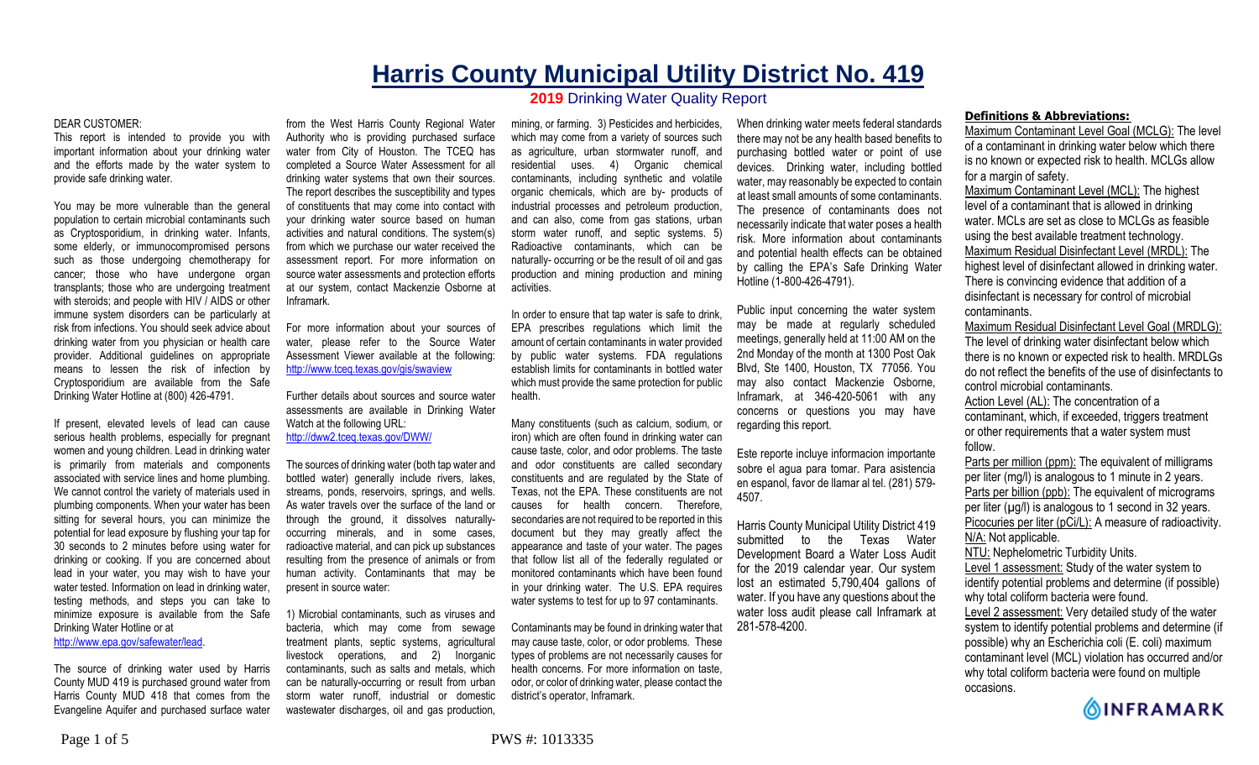# **Harris County Municipal Utility District No. 419 2019** Drinking Water Quality Report

#### DEAR CUSTOMER:

This report is intended to provide you with important information about your drinking water and the efforts made by the water system to provide safe drinking water.

You may be more vulnerable than the general population to certain microbial contaminants such as Cryptosporidium, in drinking water. Infants, some elderly, or immunocompromised persons such as those undergoing chemotherapy for cancer; those who have undergone organ transplants; those who are undergoing treatment with steroids; and people with HIV / AIDS or other immune system disorders can be particularly at risk from infections. You should seek advice about drinking water from you physician or health care provider. Additional guidelines on appropriate means to lessen the risk of infection by Cryptosporidium are available from the Safe Drinking Water Hotline at (800) 426-4791.

If present, elevated levels of lead can cause serious health problems, especially for pregnant women and young children. Lead in drinking water is primarily from materials and components associated with service lines and home plumbing. We cannot control the variety of materials used in plumbing components. When your water has been sitting for several hours, you can minimize the potential for lead exposure by flushing your tap for 30 seconds to 2 minutes before using water for drinking or cooking. If you are concerned about lead in your water, you may wish to have your water tested. Information on lead in drinking water, testing methods, and steps you can take to minimize exposure is available from the Safe Drinking Water Hotline or at

http://www.epa.gov/safewater/lead.

The source of drinking water used by Harris County MUD 419 is purchased ground water from Harris County MUD 418 that comes from the Evangeline Aquifer and purchased surface water

from the West Harris County Regional Water Authority who is providing purchased surface water from City of Houston. The TCEQ has completed a Source Water Assessment for all drinking water systems that own their sources. The report describes the susceptibility and types of constituents that may come into contact with your drinking water source based on human activities and natural conditions. The system(s) from which we purchase our water received the assessment report. For more information on source water assessments and protection efforts at our system, contact Mackenzie Osborne at Inframark.

For more information about your sources of water, please refer to the Source Water Assessment Viewer available at the following: http://www.tceq.texas.gov/gis/swaview

Further details about sources and source water assessments are available in Drinking Water Watch at the following URL: http://dww2.tceq.texas.gov/DWW/

The sources of drinking water (both tap water and bottled water) generally include rivers, lakes, streams, ponds, reservoirs, springs, and wells. As water travels over the surface of the land or through the ground, it dissolves naturallyoccurring minerals, and in some cases, radioactive material, and can pick up substances resulting from the presence of animals or from human activity. Contaminants that may be present in source water:

1) Microbial contaminants, such as viruses and bacteria, which may come from sewage treatment plants, septic systems, agricultural livestock operations, and 2) Inorganic contaminants, such as salts and metals, which can be naturally-occurring or result from urban storm water runoff, industrial or domestic wastewater discharges, oil and gas production.

mining, or farming. 3) Pesticides and herbicides, which may come from a variety of sources such as agriculture, urban stormwater runoff, and residential uses. 4) Organic chemical contaminants, including synthetic and volatile organic chemicals, which are by- products of industrial processes and petroleum production, and can also, come from gas stations, urban storm water runoff, and septic systems. 5) Radioactive contaminants, which can be naturally- occurring or be the result of oil and gas production and mining production and mining activities.

In order to ensure that tap water is safe to drink, EPA prescribes regulations which limit the amount of certain contaminants in water provided by public water systems. FDA regulations establish limits for contaminants in bottled water which must provide the same protection for public health.

Many constituents (such as calcium, sodium, or iron) which are often found in drinking water can cause taste, color, and odor problems. The taste and odor constituents are called secondary constituents and are regulated by the State of Texas, not the EPA. These constituents are not causes for health concern. Therefore, secondaries are not required to be reported in this document but they may greatly affect the appearance and taste of your water. The pages that follow list all of the federally regulated or monitored contaminants which have been found in your drinking water. The U.S. EPA requires water systems to test for up to 97 contaminants.

Contaminants may be found in drinking water that may cause taste, color, or odor problems. These types of problems are not necessarily causes for health concerns. For more information on taste, odor, or color of drinking water, please contact the district's operator, Inframark.

When drinking water meets federal standards there may not be any health based benefits to purchasing bottled water or point of use devices. Drinking water, including bottled water, may reasonably be expected to contain at least small amounts of some contaminants. The presence of contaminants does not necessarily indicate that water poses a health risk. More information about contaminants and potential health effects can be obtained by calling the EPA's Safe Drinking Water Hotline (1-800-426-4791).

Public input concerning the water system may be made at regularly scheduled meetings, generally held at 11:00 AM on the 2nd Monday of the month at 1300 Post Oak Blvd, Ste 1400, Houston, TX 77056. You may also contact Mackenzie Osborne, Inframark, at 346-420-5061 with any concerns or questions you may have regarding this report.

Este reporte incluye informacion importante sobre el agua para tomar. Para asistencia en espanol, favor de llamar al tel. (281) 579- 4507.

Harris County Municipal Utility District 419 submitted to the Texas Water Development Board a Water Loss Audit for the 2019 calendar year. Our system lost an estimated 5,790,404 gallons of water. If you have any questions about the water loss audit please call Inframark at 281-578-4200.

#### **Definitions & Abbreviations:**

Maximum Contaminant Level Goal (MCLG): The level of a contaminant in drinking water below which there is no known or expected risk to health. MCLGs allow for a margin of safety.

Maximum Contaminant Level (MCL): The highest level of a contaminant that is allowed in drinking water. MCLs are set as close to MCLGs as feasible using the best available treatment technology. Maximum Residual Disinfectant Level (MRDL): The highest level of disinfectant allowed in drinking water. There is convincing evidence that addition of a disinfectant is necessary for control of microbial contaminants.

Maximum Residual Disinfectant Level Goal (MRDLG): The level of drinking water disinfectant below which there is no known or expected risk to health. MRDLGs do not reflect the benefits of the use of disinfectants to control microbial contaminants.

Action Level (AL): The concentration of a contaminant, which, if exceeded, triggers treatment or other requirements that a water system must follow.

Parts per million (ppm): The equivalent of milligrams per liter (mg/l) is analogous to 1 minute in 2 years. Parts per billion (ppb): The equivalent of micrograms per liter  $(\mu g/l)$  is analogous to 1 second in 32 years. Picocuries per liter (pCi/L): A measure of radioactivity. N/A: Not applicable. NTU: Nephelometric Turbidity Units. Level 1 assessment: Study of the water system to identify potential problems and determine (if possible) why total coliform bacteria were found.

Level 2 assessment: Very detailed study of the water system to identify potential problems and determine (if possible) why an Escherichia coli (E. coli) maximum contaminant level (MCL) violation has occurred and/or why total coliform bacteria were found on multiple occasions.

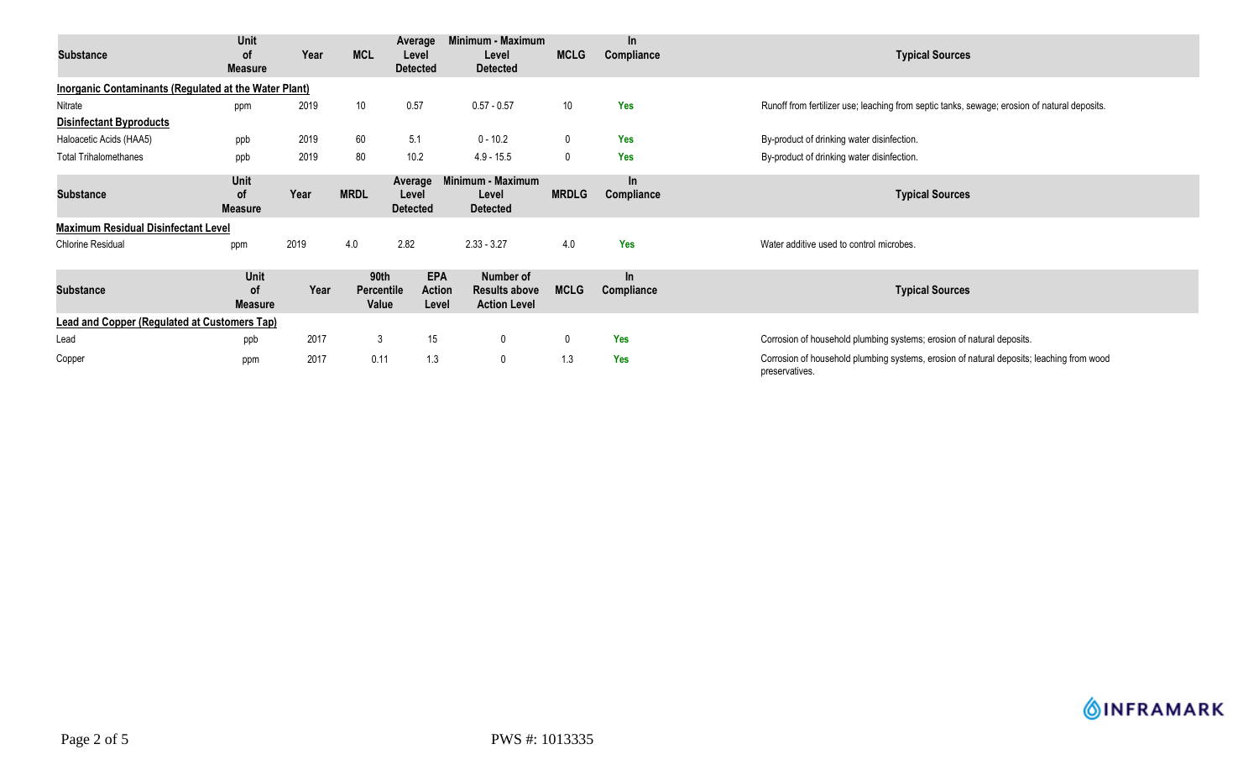| <b>Substance</b>                                      | Unit<br><b>of</b><br><b>Measure</b> | Year | <b>MCL</b>                         | Average<br>Level<br><b>Detected</b>  | Minimum - Maximum<br>Level<br><b>Detected</b>                   | <b>MCLG</b>  | In.<br>Compliance   | <b>Typical Sources</b>                                                                                     |  |  |
|-------------------------------------------------------|-------------------------------------|------|------------------------------------|--------------------------------------|-----------------------------------------------------------------|--------------|---------------------|------------------------------------------------------------------------------------------------------------|--|--|
| Inorganic Contaminants (Regulated at the Water Plant) |                                     |      |                                    |                                      |                                                                 |              |                     |                                                                                                            |  |  |
| Nitrate                                               | ppm                                 | 2019 | 10                                 | 0.57                                 | $0.57 - 0.57$                                                   | 10           | Yes                 | Runoff from fertilizer use; leaching from septic tanks, sewage; erosion of natural deposits.               |  |  |
| <b>Disinfectant Byproducts</b>                        |                                     |      |                                    |                                      |                                                                 |              |                     |                                                                                                            |  |  |
| Haloacetic Acids (HAA5)                               | ppb                                 | 2019 | 60                                 | 5.1                                  | $0 - 10.2$                                                      | $\mathbf 0$  | <b>Yes</b>          | By-product of drinking water disinfection.                                                                 |  |  |
| <b>Total Trihalomethanes</b>                          | ppb                                 | 2019 | 80                                 | 10.2                                 | $4.9 - 15.5$                                                    | $\mathbf 0$  | <b>Yes</b>          | By-product of drinking water disinfection.                                                                 |  |  |
| <b>Substance</b>                                      | Unit<br><b>of</b><br><b>Measure</b> | Year | <b>MRDL</b>                        | Average<br>Level<br><b>Detected</b>  | Minimum - Maximum<br>Level<br><b>Detected</b>                   | <b>MRDLG</b> | $\ln$<br>Compliance | <b>Typical Sources</b>                                                                                     |  |  |
| <b>Maximum Residual Disinfectant Level</b>            |                                     |      |                                    |                                      |                                                                 |              |                     |                                                                                                            |  |  |
| <b>Chlorine Residual</b>                              | ppm                                 | 2019 | 4.0                                | 2.82                                 | $2.33 - 3.27$                                                   | 4.0          | Yes                 | Water additive used to control microbes.                                                                   |  |  |
| <b>Substance</b>                                      | Unit<br>οf<br><b>Measure</b>        | Year | 90th<br><b>Percentile</b><br>Value | <b>EPA</b><br><b>Action</b><br>Level | <b>Number of</b><br><b>Results above</b><br><b>Action Level</b> | <b>MCLG</b>  | In<br>Compliance    | <b>Typical Sources</b>                                                                                     |  |  |
| <b>Lead and Copper (Regulated at Customers Tap)</b>   |                                     |      |                                    |                                      |                                                                 |              |                     |                                                                                                            |  |  |
| Lead                                                  | ppb                                 | 2017 | 3                                  | 15                                   | $\mathbf 0$                                                     | 0            | <b>Yes</b>          | Corrosion of household plumbing systems; erosion of natural deposits.                                      |  |  |
| Copper                                                | ppm                                 | 2017 | 0.11                               | 1.3                                  | $\mathbf 0$                                                     | 1.3          | <b>Yes</b>          | Corrosion of household plumbing systems, erosion of natural deposits; leaching from wood<br>preservatives. |  |  |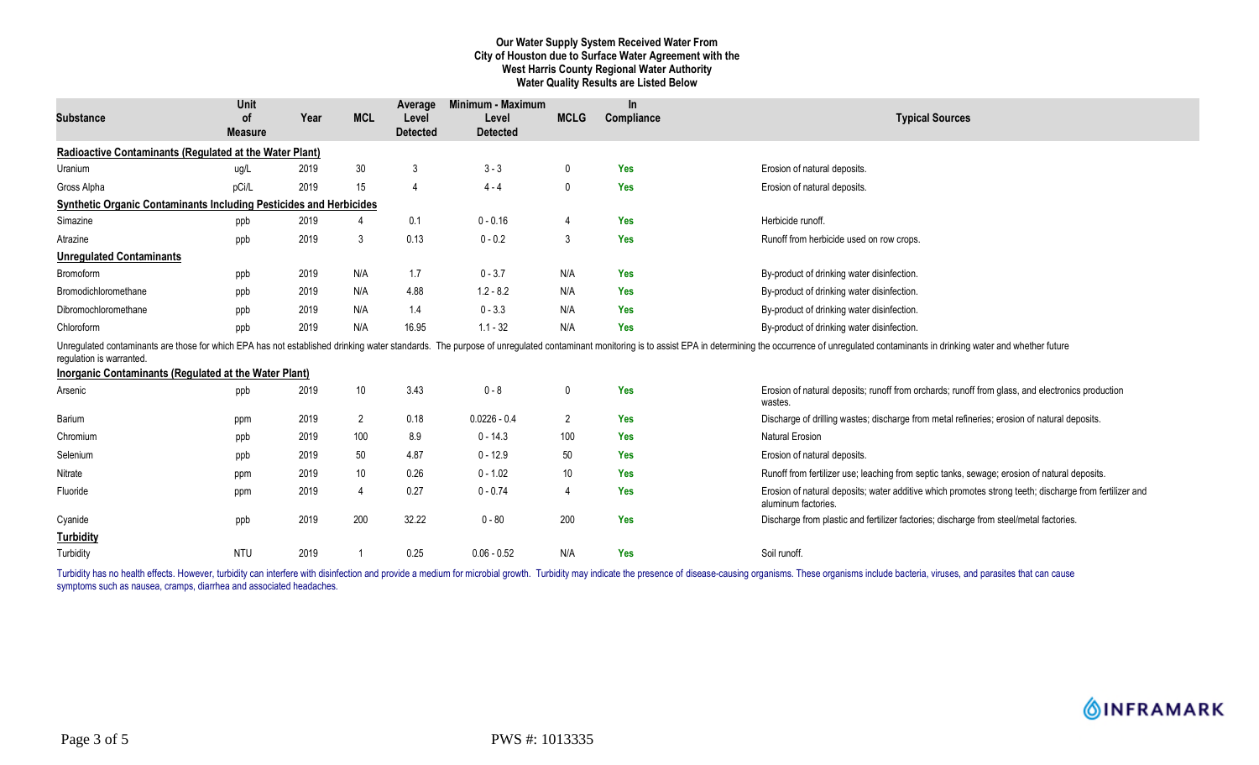## **Our Water Supply System Received Water From City of Houston due to Surface Water Agreement with the West Harris County Regional Water Authority Water Quality Results are Listed Below**

| <b>Substance</b>                                                          | Unit<br>0f     | Year | <b>MCL</b>     | Average<br>Level | Minimum - Maximum<br>Level | <b>MCLG</b>    | In.<br>Compliance | <b>Typical Sources</b>                                                                                                                                                                                                         |
|---------------------------------------------------------------------------|----------------|------|----------------|------------------|----------------------------|----------------|-------------------|--------------------------------------------------------------------------------------------------------------------------------------------------------------------------------------------------------------------------------|
|                                                                           | <b>Measure</b> |      |                | <b>Detected</b>  | <b>Detected</b>            |                |                   |                                                                                                                                                                                                                                |
| Radioactive Contaminants (Regulated at the Water Plant)                   |                |      |                |                  |                            |                |                   |                                                                                                                                                                                                                                |
| Uranium                                                                   | ug/L           | 2019 | 30             | 3                | $3 - 3$                    | $\mathbf{0}$   | <b>Yes</b>        | Erosion of natural deposits.                                                                                                                                                                                                   |
| Gross Alpha                                                               | pCi/L          | 2019 | 15             | 4                | $4 - 4$                    | 0              | Yes               | Erosion of natural deposits.                                                                                                                                                                                                   |
| <b>Synthetic Organic Contaminants Including Pesticides and Herbicides</b> |                |      |                |                  |                            |                |                   |                                                                                                                                                                                                                                |
| Simazine                                                                  | ppb            | 2019 | 4              | 0.1              | $0 - 0.16$                 |                | <b>Yes</b>        | Herbicide runoff.                                                                                                                                                                                                              |
| Atrazine                                                                  | ppb            | 2019 | 3              | 0.13             | $0 - 0.2$                  | 3              | Yes               | Runoff from herbicide used on row crops.                                                                                                                                                                                       |
| <b>Unregulated Contaminants</b>                                           |                |      |                |                  |                            |                |                   |                                                                                                                                                                                                                                |
| Bromoform                                                                 | ppb            | 2019 | N/A            | 1.7              | $0 - 3.7$                  | N/A            | Yes               | By-product of drinking water disinfection.                                                                                                                                                                                     |
| Bromodichloromethane                                                      | ppb            | 2019 | N/A            | 4.88             | $1.2 - 8.2$                | N/A            | <b>Yes</b>        | By-product of drinking water disinfection.                                                                                                                                                                                     |
| Dibromochloromethane                                                      | ppb            | 2019 | N/A            | 1.4              | $0 - 3.3$                  | N/A            | <b>Yes</b>        | By-product of drinking water disinfection.                                                                                                                                                                                     |
| Chloroform                                                                | ppb            | 2019 | N/A            | 16.95            | $1.1 - 32$                 | N/A            | <b>Yes</b>        | By-product of drinking water disinfection.                                                                                                                                                                                     |
| regulation is warranted.                                                  |                |      |                |                  |                            |                |                   | Unregulated contaminants are those for which EPA has not established drinking water standards. The purpose of unregulated contaminant monitoring is to assist EPA in determining the occurrence of unregulated contaminants in |
| <b>Inorganic Contaminants (Regulated at the Water Plant)</b>              |                |      |                |                  |                            |                |                   |                                                                                                                                                                                                                                |
| Arsenic                                                                   | ppb            | 2019 | $10\,$         | 3.43             | $0 - 8$                    | $\mathbf 0$    | Yes               | Erosion of natural deposits; runoff from orchards; runoff from glass, and electronics production<br>wastes.                                                                                                                    |
| Barium                                                                    | ppm            | 2019 | $\overline{2}$ | 0.18             | $0.0226 - 0.4$             | $\overline{2}$ | Yes               | Discharge of drilling wastes; discharge from metal refineries; erosion of natural deposits.                                                                                                                                    |
| Chromium                                                                  | ppb            | 2019 | 100            | 8.9              | $0 - 14.3$                 | 100            | Yes               | <b>Natural Erosion</b>                                                                                                                                                                                                         |
| Selenium                                                                  | ppb            | 2019 | 50             | 4.87             | $0 - 12.9$                 | 50             | <b>Yes</b>        | Erosion of natural deposits.                                                                                                                                                                                                   |
| Nitrate                                                                   | ppm            | 2019 | 10             | 0.26             | $0 - 1.02$                 | 10             | <b>Yes</b>        | Runoff from fertilizer use; leaching from septic tanks, sewage; erosion of natural deposits.                                                                                                                                   |
| Fluoride                                                                  | ppm            | 2019 | $\overline{4}$ | 0.27             | $0 - 0.74$                 |                | Yes               | Erosion of natural deposits; water additive which promotes strong teeth; discharge from fertilizer and<br>aluminum factories.                                                                                                  |
| Cyanide                                                                   | ppb            | 2019 | 200            | 32.22            | $0 - 80$                   | 200            | Yes               | Discharge from plastic and fertilizer factories; discharge from steel/metal factories.                                                                                                                                         |
| <b>Turbidity</b>                                                          |                |      |                |                  |                            |                |                   |                                                                                                                                                                                                                                |
| Turbidity                                                                 | <b>NTU</b>     | 2019 |                | 0.25             | $0.06 - 0.52$              | N/A            | <b>Yes</b>        | Soil runoff                                                                                                                                                                                                                    |

Turbidity has no health effects. However, turbidity can interfere with disinfection and provide a medium for microbial growth. Turbidity may indicate the presence of disease-causing organisms. These organisms include bacte symptoms such as nausea, cramps, diarrhea and associated headaches.

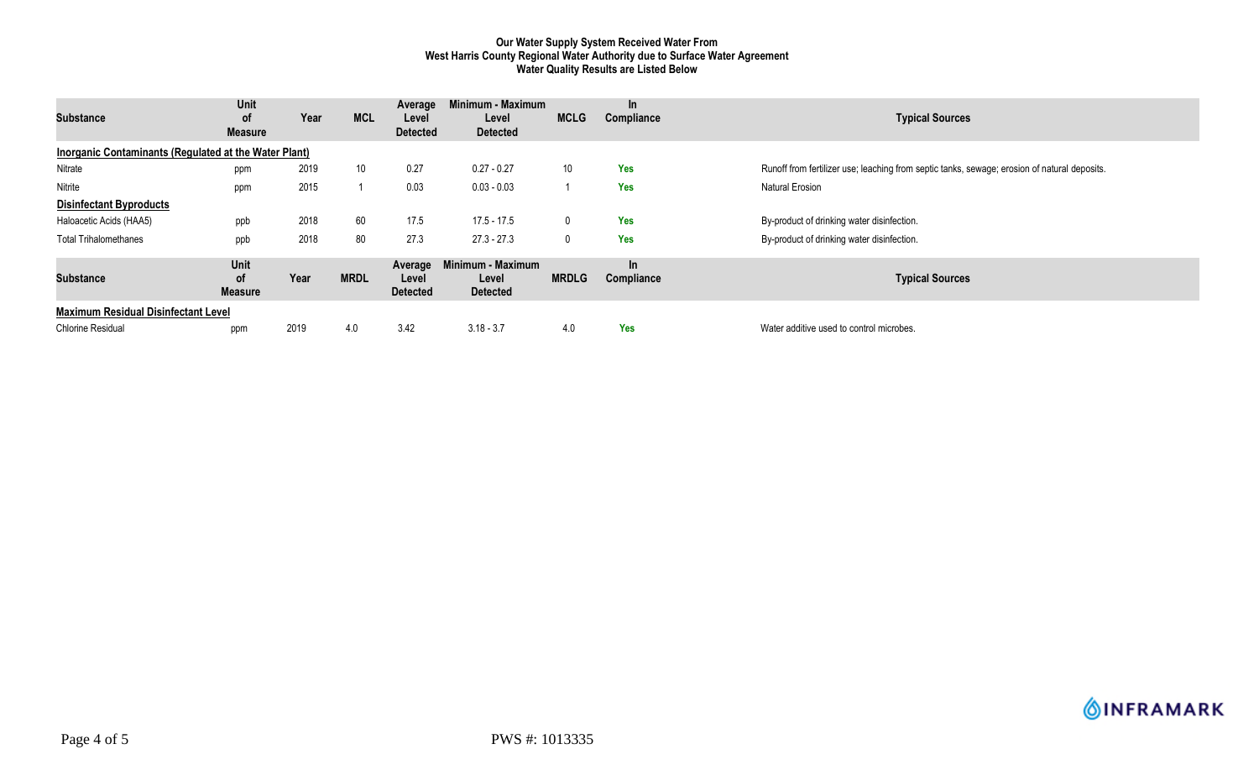### **Our Water Supply System Received Water From West Harris County Regional Water Authority due to Surface Water Agreement Water Quality Results are Listed Below**

| <b>Substance</b>                                      | Unit<br>0f<br><b>Measure</b> | Year | <b>MCL</b>      | Average<br>Level<br><b>Detected</b> | Minimum - Maximum<br>Level<br><b>Detected</b> | <b>MCLG</b>     | $\ln$<br>Compliance     | <b>Typical Sources</b>                                                                       |  |
|-------------------------------------------------------|------------------------------|------|-----------------|-------------------------------------|-----------------------------------------------|-----------------|-------------------------|----------------------------------------------------------------------------------------------|--|
| Inorganic Contaminants (Regulated at the Water Plant) |                              |      |                 |                                     |                                               |                 |                         |                                                                                              |  |
| Nitrate                                               | ppm                          | 2019 | 10 <sup>°</sup> | 0.27                                | $0.27 - 0.27$                                 | 10 <sup>°</sup> | Yes                     | Runoff from fertilizer use; leaching from septic tanks, sewage; erosion of natural deposits. |  |
| Nitrite                                               | ppm                          | 2015 |                 | 0.03                                | $0.03 - 0.03$                                 |                 | <b>Yes</b>              | <b>Natural Erosion</b>                                                                       |  |
| <b>Disinfectant Byproducts</b>                        |                              |      |                 |                                     |                                               |                 |                         |                                                                                              |  |
| Haloacetic Acids (HAA5)                               | ppb                          | 2018 | 60              | 17.5                                | $17.5 - 17.5$                                 | 0               | Yes                     | By-product of drinking water disinfection.                                                   |  |
| <b>Total Trihalomethanes</b>                          | ppb                          | 2018 | 80              | 27.3                                | $27.3 - 27.3$                                 |                 | Yes                     | By-product of drinking water disinfection.                                                   |  |
| <b>Substance</b>                                      | Unit<br>οf<br><b>Measure</b> | Year | <b>MRDL</b>     | Average<br>Level<br><b>Detected</b> | Minimum - Maximum<br>Level<br><b>Detected</b> | <b>MRDLG</b>    | <b>In</b><br>Compliance | <b>Typical Sources</b>                                                                       |  |
| <b>Maximum Residual Disinfectant Level</b>            |                              |      |                 |                                     |                                               |                 |                         |                                                                                              |  |
| Chlorine Residual                                     | ppm                          | 2019 | 4.0             | 3.42                                | $3.18 - 3.7$                                  | 4.0             | <b>Yes</b>              | Water additive used to control microbes.                                                     |  |